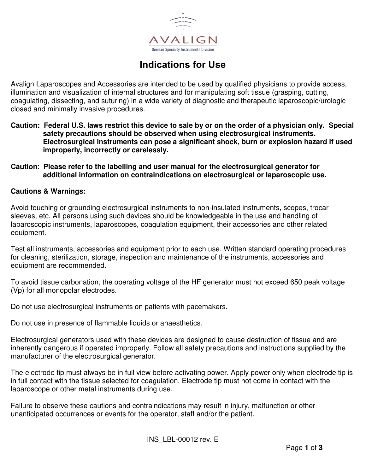

# **Indications for Use**

Avalign Laparoscopes and Accessories are intended to be used by qualified physicians to provide access, illumination and visualization of internal structures and for manipulating soft tissue (grasping, cutting, coagulating, dissecting, and suturing) in a wide variety of diagnostic and therapeutic laparoscopic/urologic closed and minimally invasive procedures.

- **Caution: Federal U.S. laws restrict this device to sale by or on the order of a physician only. Special safety precautions should be observed when using electrosurgical instruments. Electrosurgical instruments can pose a significant shock, burn or explosion hazard if used improperly, incorrectly or carelessly.**
- **Caution**: **Please refer to the labelling and user manual for the electrosurgical generator for additional information on contraindications on electrosurgical or laparoscopic use.**

### **Cautions & Warnings:**

Avoid touching or grounding electrosurgical instruments to non-insulated instruments, scopes, trocar sleeves, etc. All persons using such devices should be knowledgeable in the use and handling of laparoscopic instruments, laparoscopes, coagulation equipment, their accessories and other related equipment.

Test all instruments, accessories and equipment prior to each use. Written standard operating procedures for cleaning, sterilization, storage, inspection and maintenance of the instruments, accessories and equipment are recommended.

To avoid tissue carbonation, the operating voltage of the HF generator must not exceed 650 peak voltage (Vp) for all monopolar electrodes.

Do not use electrosurgical instruments on patients with pacemakers.

Do not use in presence of flammable liquids or anaesthetics.

Electrosurgical generators used with these devices are designed to cause destruction of tissue and are inherently dangerous if operated improperly. Follow all safety precautions and instructions supplied by the manufacturer of the electrosurgical generator.

The electrode tip must always be in full view before activating power. Apply power only when electrode tip is in full contact with the tissue selected for coagulation. Electrode tip must not come in contact with the laparoscope or other metal instruments during use.

Failure to observe these cautions and contraindications may result in injury, malfunction or other unanticipated occurrences or events for the operator, staff and/or the patient.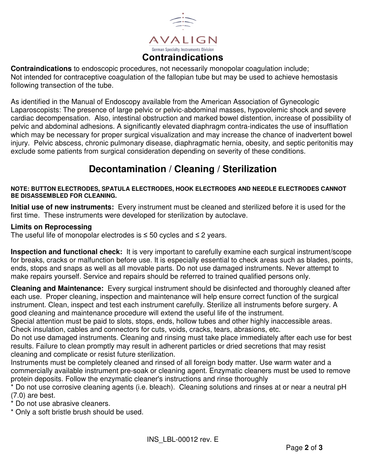

**Contraindications** to endoscopic procedures, not necessarily monopolar coagulation include; Not intended for contraceptive coagulation of the fallopian tube but may be used to achieve hemostasis following transection of the tube.

As identified in the Manual of Endoscopy available from the American Association of Gynecologic Laparoscopists: The presence of large pelvic or pelvic-abdominal masses, hypovolemic shock and severe cardiac decompensation. Also, intestinal obstruction and marked bowel distention, increase of possibility of pelvic and abdominal adhesions. A significantly elevated diaphragm contra-indicates the use of insufflation which may be necessary for proper surgical visualization and may increase the chance of inadvertent bowel injury. Pelvic abscess, chronic pulmonary disease, diaphragmatic hernia, obesity, and septic peritonitis may exclude some patients from surgical consideration depending on severity of these conditions.

# **Decontamination / Cleaning / Sterilization**

#### **NOTE: BUTTON ELECTRODES, SPATULA ELECTRODES, HOOK ELECTRODES AND NEEDLE ELECTRODES CANNOT BE DISASSEMBLED FOR CLEANING.**

**Initial use of new instruments:** Every instrument must be cleaned and sterilized before it is used for the first time. These instruments were developed for sterilization by autoclave.

### **Limits on Reprocessing**

The useful life of monopolar electrodes is  $\leq$  50 cycles and  $\leq$  2 years.

**Inspection and functional check:** It is very important to carefully examine each surgical instrument/scope for breaks, cracks or malfunction before use. It is especially essential to check areas such as blades, points, ends, stops and snaps as well as all movable parts. Do not use damaged instruments. Never attempt to make repairs yourself. Service and repairs should be referred to trained qualified persons only.

**Cleaning and Maintenance:** Every surgical instrument should be disinfected and thoroughly cleaned after each use. Proper cleaning, inspection and maintenance will help ensure correct function of the surgical instrument. Clean, inspect and test each instrument carefully. Sterilize all instruments before surgery. A good cleaning and maintenance procedure will extend the useful life of the instrument.

Special attention must be paid to slots, stops, ends, hollow tubes and other highly inaccessible areas. Check insulation, cables and connectors for cuts, voids, cracks, tears, abrasions, etc.

Do not use damaged instruments. Cleaning and rinsing must take place immediately after each use for best results. Failure to clean promptly may result in adherent particles or dried secretions that may resist cleaning and complicate or resist future sterilization.

Instruments must be completely cleaned and rinsed of all foreign body matter. Use warm water and a commercially available instrument pre-soak or cleaning agent. Enzymatic cleaners must be used to remove protein deposits. Follow the enzymatic cleaner's instructions and rinse thoroughly

\* Do not use corrosive cleaning agents (i.e. bleach). Cleaning solutions and rinses at or near a neutral pH (7.0) are best.

\* Do not use abrasive cleaners.

\* Only a soft bristle brush should be used.